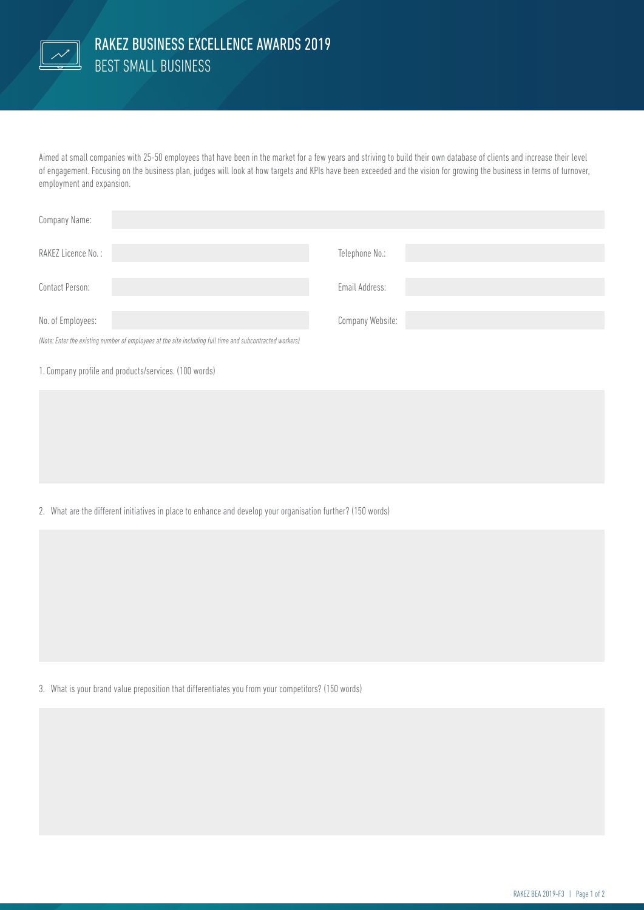

Aimed at small companies with 25-50 employees that have been in the market for a few years and striving to build their own database of clients and increase their level of engagement. Focusing on the business plan, judges will look at how targets and KPIs have been exceeded and the vision for growing the business in terms of turnover, employment and expansion.

| Company Name:                                                                                            |                  |
|----------------------------------------------------------------------------------------------------------|------------------|
| RAKEZ Licence No.:                                                                                       | Telephone No.:   |
| Contact Person:                                                                                          | Email Address:   |
| No. of Employees:                                                                                        | Company Website: |
| (Note: Enter the existing number of employees at the site including full time and subcontracted workers) |                  |

1. Company profile and products/services. (100 words)

2. What are the different initiatives in place to enhance and develop your organisation further? (150 words)

3. What is your brand value preposition that differentiates you from your competitors? (150 words)